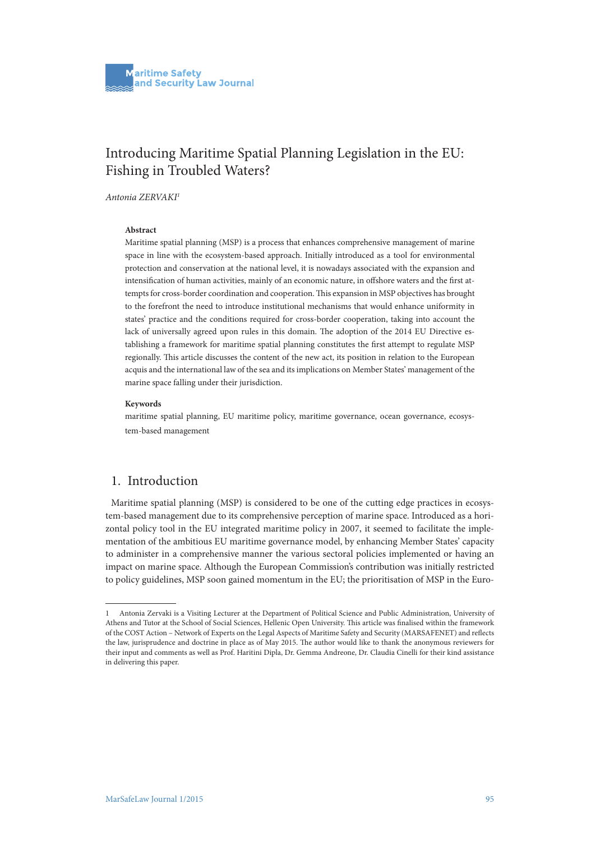# Introducing Maritime Spatial Planning Legislation in the EU: Fishing in Troubled Waters?

*Antonia ZERVAKI1*

#### **Abstract**

Maritime spatial planning (MSP) is a process that enhances comprehensive management of marine space in line with the ecosystem-based approach. Initially introduced as a tool for environmental protection and conservation at the national level, it is nowadays associated with the expansion and intensification of human activities, mainly of an economic nature, in offshore waters and the first attempts for cross-border coordination and cooperation. This expansion in MSP objectives has brought to the forefront the need to introduce institutional mechanisms that would enhance uniformity in states' practice and the conditions required for cross-border cooperation, taking into account the lack of universally agreed upon rules in this domain. The adoption of the 2014 EU Directive establishing a framework for maritime spatial planning constitutes the first attempt to regulate MSP regionally. This article discusses the content of the new act, its position in relation to the European acquis and the international law of the sea and its implications on Member States' management of the marine space falling under their jurisdiction.

#### **Keywords**

maritime spatial planning, EU maritime policy, maritime governance, ocean governance, ecosystem-based management

## 1. Introduction

Maritime spatial planning (MSP) is considered to be one of the cutting edge practices in ecosystem-based management due to its comprehensive perception of marine space. Introduced as a horizontal policy tool in the EU integrated maritime policy in 2007, it seemed to facilitate the implementation of the ambitious EU maritime governance model, by enhancing Member States' capacity to administer in a comprehensive manner the various sectoral policies implemented or having an impact on marine space. Although the European Commission's contribution was initially restricted to policy guidelines, MSP soon gained momentum in the EU; the prioritisation of MSP in the Euro-

<sup>1</sup> Antonia Zervaki is a Visiting Lecturer at the Department of Political Science and Public Administration, University of Athens and Tutor at the School of Social Sciences, Hellenic Open University. This article was finalised within the framework of the COST Action – Network of Experts on the Legal Aspects of Maritime Safety and Security (MARSAFENET) and reflects the law, jurisprudence and doctrine in place as of May 2015. The author would like to thank the anonymous reviewers for their input and comments as well as Prof. Haritini Dipla, Dr. Gemma Andreone, Dr. Claudia Cinelli for their kind assistance in delivering this paper.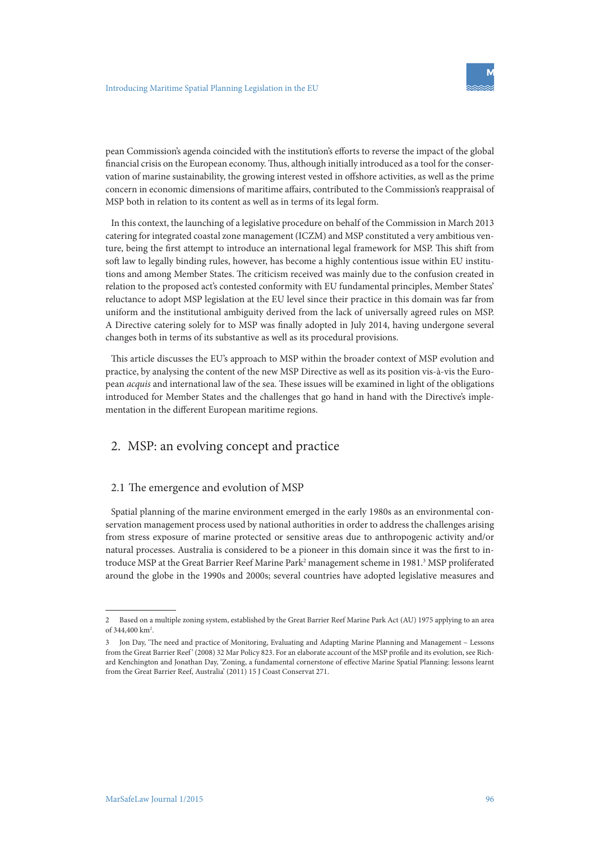

pean Commission's agenda coincided with the institution's efforts to reverse the impact of the global financial crisis on the European economy. Thus, although initially introduced as a tool for the conservation of marine sustainability, the growing interest vested in offshore activities, as well as the prime concern in economic dimensions of maritime affairs, contributed to the Commission's reappraisal of MSP both in relation to its content as well as in terms of its legal form.

In this context, the launching of a legislative procedure on behalf of the Commission in March 2013 catering for integrated coastal zone management (ICZM) and MSP constituted a very ambitious venture, being the first attempt to introduce an international legal framework for MSP. This shift from soft law to legally binding rules, however, has become a highly contentious issue within EU institutions and among Member States. The criticism received was mainly due to the confusion created in relation to the proposed act's contested conformity with EU fundamental principles, Member States' reluctance to adopt MSP legislation at the EU level since their practice in this domain was far from uniform and the institutional ambiguity derived from the lack of universally agreed rules on MSP. A Directive catering solely for to MSP was finally adopted in July 2014, having undergone several changes both in terms of its substantive as well as its procedural provisions.

This article discusses the EU's approach to MSP within the broader context of MSP evolution and practice, by analysing the content of the new MSP Directive as well as its position vis-à-vis the European *acquis* and international law of the sea. These issues will be examined in light of the obligations introduced for Member States and the challenges that go hand in hand with the Directive's implementation in the different European maritime regions.

# 2. MSP: an evolving concept and practice

### 2.1 The emergence and evolution of MSP

Spatial planning of the marine environment emerged in the early 1980s as an environmental conservation management process used by national authorities in order to address the challenges arising from stress exposure of marine protected or sensitive areas due to anthropogenic activity and/or natural processes. Australia is considered to be a pioneer in this domain since it was the first to introduce MSP at the Great Barrier Reef Marine Park<sup>2</sup> management scheme in 1981.<sup>3</sup> MSP proliferated around the globe in the 1990s and 2000s; several countries have adopted legislative measures and

<sup>2</sup> Based on a multiple zoning system, established by the Great Barrier Reef Marine Park Act (AU) 1975 applying to an area of 344,400 km<sup>2</sup>.

<sup>3</sup> Jon Day, 'The need and practice of Monitoring, Evaluating and Adapting Marine Planning and Management – Lessons from the Great Barrier Reef' (2008) 32 Mar Policy 823. For an elaborate account of the MSP profile and its evolution, see Richard Kenchington and Jonathan Day, 'Zoning, a fundamental cornerstone of effective Marine Spatial Planning: lessons learnt from the Great Barrier Reef, Australia' (2011) 15 J Coast Conservat 271.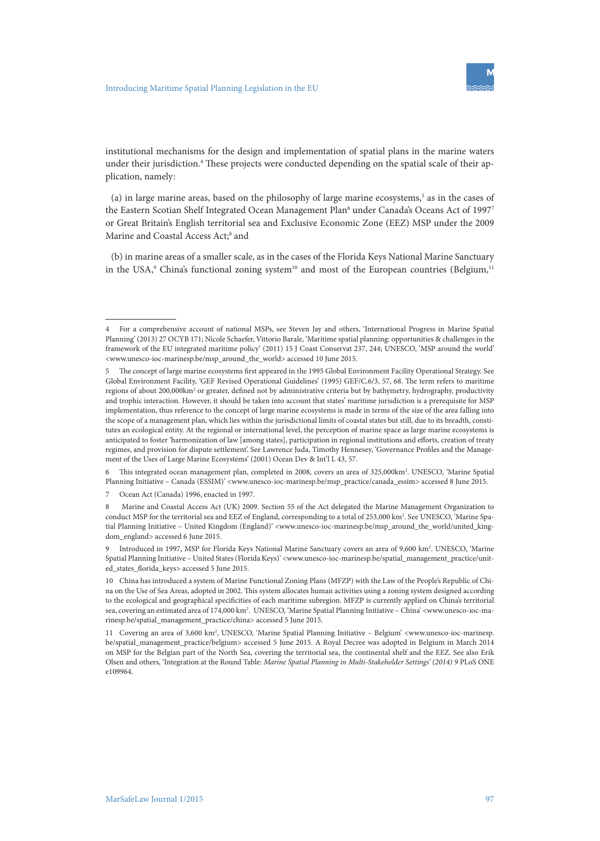

institutional mechanisms for the design and implementation of spatial plans in the marine waters under their jurisdiction.<sup>4</sup> These projects were conducted depending on the spatial scale of their application, namely:

(a) in large marine areas, based on the philosophy of large marine ecosystems,<sup>5</sup> as in the cases of the Eastern Scotian Shelf Integrated Ocean Management Plan<sup>6</sup> under Canada's Oceans Act of 1997<sup>7</sup> or Great Britain's English territorial sea and Exclusive Economic Zone (EEZ) MSP under the 2009 Marine and Coastal Access Act;<sup>8</sup> and

(b) in marine areas of a smaller scale, as in the cases of the Florida Keys National Marine Sanctuary in the USA,<sup>9</sup> China's functional zoning system<sup>10</sup> and most of the European countries (Belgium,<sup>11</sup>

<sup>4</sup> For a comprehensive account of national MSPs, see Steven Jay and others, 'International Progress in Marine Spatial Planning' (2013) 27 OCYB 171; Nicole Schaefer, Vittorio Barale, 'Maritime spatial planning: opportunities & challenges in the framework of the EU integrated maritime policy' (2011) 15 J Coast Conservat 237, 244; UNESCO, 'MSP around the world' <www.unesco-ioc-marinesp.be/msp\_around\_the\_world> accessed 10 June 2015.

<sup>5</sup> The concept of large marine ecosystems first appeared in the 1995 Global Environment Facility Operational Strategy. See Global Environment Facility, 'GEF Revised Operational Guidelines' (1995) GEF/C.6/3, 57, 68. The term refers to maritime regions of about 200,000km<sup>2</sup> or greater, defined not by administrative criteria but by bathymetry, hydrography, productivity and trophic interaction. However, it should be taken into account that states' maritime jurisdiction is a prerequisite for MSP implementation, thus reference to the concept of large marine ecosystems is made in terms of the size of the area falling into the scope of a management plan, which lies within the jurisdictional limits of coastal states but still, due to its breadth, constitutes an ecological entity. At the regional or international level, the perception of marine space as large marine ecosystems is anticipated to foster 'harmonization of law [among states], participation in regional institutions and efforts, creation of treaty regimes, and provision for dispute settlement'. See Lawrence Juda, Timothy Hennesey, 'Governance Profiles and the Management of the Uses of Large Marine Ecosystems' (2001) Ocean Dev & Int'l L 43, 57.

<sup>6</sup> This integrated ocean management plan, completed in 2008, covers an area of 325,000km2 . UNESCO, 'Marine Spatial Planning Initiative - Canada (ESSIM)' <www.unesco-ioc-marinesp.be/msp\_practice/canada\_essim> accessed 8 June 2015.

<sup>7</sup> Ocean Act (Canada) 1996, enacted in 1997.

<sup>8</sup> Marine and Coastal Access Act (UK) 2009. Section 55 of the Act delegated the Marine Management Organization to conduct MSP for the territorial sea and EEZ of England, corresponding to a total of 253,000 km<sup>2</sup>. See UNESCO, 'Marine Spatial Planning Initiative – United Kingdom (England)' <www.unesco-ioc-marinesp.be/msp\_around\_the\_world/united\_kingdom\_england> accessed 6 June 2015.

<sup>9</sup> Introduced in 1997, MSP for Florida Keys National Marine Sanctuary covers an area of 9,600 km2 . UNESCO, 'Marine Spatial Planning Initiative – United States (Florida Keys)' <www.unesco-ioc-marinesp.be/spatial\_management\_practice/united\_states\_florida\_keys> accessed 5 June 2015.

<sup>10</sup> China has introduced a system of Marine Functional Zoning Plans (MFZP) with the Law of the People's Republic of China on the Use of Sea Areas, adopted in 2002. This system allocates human activities using a zoning system designed according to the ecological and geographical specificities of each maritime subregion. MFZP is currently applied on China's territorial sea, covering an estimated area of 174,000 km<sup>2</sup>. UNESCO, 'Marine Spatial Planning Initiative - China' <www.unesco-ioc-marinesp.be/spatial\_management\_practice/china> accessed 5 June 2015.

<sup>11</sup> Covering an area of 3,600 km2 , UNESCO, 'Marine Spatial Planning Initiative – Belgium' <www.unesco-ioc-marinesp. be/spatial\_management\_practice/belgium> accessed 5 June 2015. A Royal Decree was adopted in Belgium in March 2014 on MSP for the Belgian part of the North Sea, covering the territorial sea, the continental shelf and the EEZ. See also Erik Olsen and others, 'Integration at the Round Table: *Marine Spatial Planning in Multi-Stakeholder Settings' (2014) 9* PLoS ONE e109964.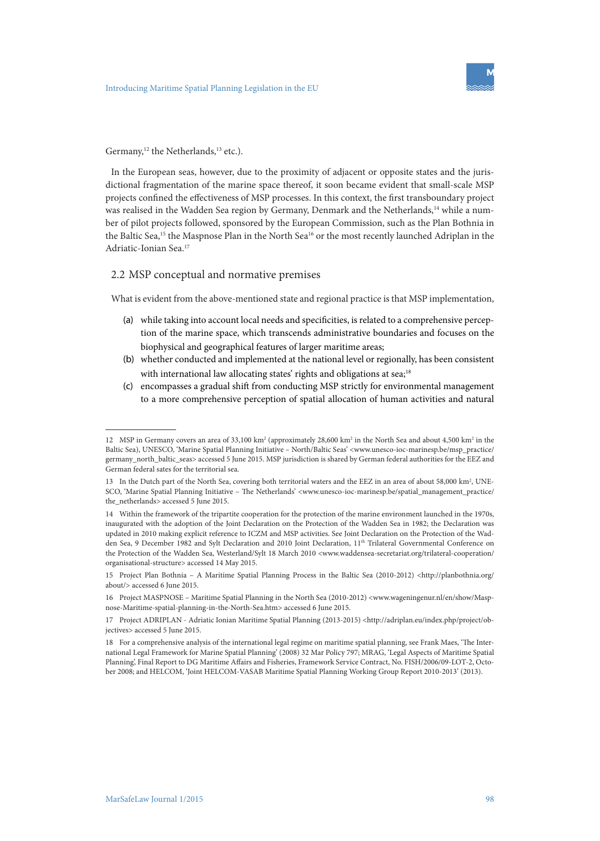

#### Germany,<sup>12</sup> the Netherlands,<sup>13</sup> etc.).

In the European seas, however, due to the proximity of adjacent or opposite states and the jurisdictional fragmentation of the marine space thereof, it soon became evident that small-scale MSP projects confined the effectiveness of MSP processes. In this context, the first transboundary project was realised in the Wadden Sea region by Germany, Denmark and the Netherlands,<sup>14</sup> while a number of pilot projects followed, sponsored by the European Commission, such as the Plan Bothnia in the Baltic Sea,<sup>15</sup> the Maspnose Plan in the North Sea<sup>16</sup> or the most recently launched Adriplan in the Adriatic-Ionian Sea.17

### 2.2 MSP conceptual and normative premises

What is evident from the above-mentioned state and regional practice is that MSP implementation,

- (a) while taking into account local needs and specificities, is related to a comprehensive perception of the marine space, which transcends administrative boundaries and focuses on the biophysical and geographical features of larger maritime areas;
- (b) whether conducted and implemented at the national level or regionally, has been consistent with international law allocating states' rights and obligations at sea;<sup>18</sup>
- (c) encompasses a gradual shift from conducting MSP strictly for environmental management to a more comprehensive perception of spatial allocation of human activities and natural

<sup>12</sup> MSP in Germany covers an area of 33,100 km<sup>2</sup> (approximately 28,600 km<sup>2</sup> in the North Sea and about 4,500 km<sup>2</sup> in the Baltic Sea), UNESCO, 'Marine Spatial Planning Initiative - North/Baltic Seas' <www.unesco-ioc-marinesp.be/msp\_practice/ germany\_north\_baltic\_seas> accessed 5 June 2015. MSP jurisdiction is shared by German federal authorities for the EEZ and German federal sates for the territorial sea.

<sup>13</sup> In the Dutch part of the North Sea, covering both territorial waters and the EEZ in an area of about 58,000 km<sup>2</sup>, UNE-SCO, 'Marine Spatial Planning Initiative – The Netherlands' <www.unesco-ioc-marinesp.be/spatial\_management\_practice/ the\_netherlands> accessed 5 June 2015.

<sup>14</sup> Within the framework of the tripartite cooperation for the protection of the marine environment launched in the 1970s, inaugurated with the adoption of the Joint Declaration on the Protection of the Wadden Sea in 1982; the Declaration was updated in 2010 making explicit reference to ICZM and MSP activities. See Joint Declaration on the Protection of the Wadden Sea, 9 December 1982 and Sylt Declaration and 2010 Joint Declaration, 11<sup>th</sup> Trilateral Governmental Conference on the Protection of the Wadden Sea, Westerland/Sylt 18 March 2010 <www.waddensea-secretariat.org/trilateral-cooperation/ organisational-structure> accessed 14 May 2015.

<sup>15</sup> Project Plan Bothnia – A Maritime Spatial Planning Process in the Baltic Sea (2010-2012) <http://planbothnia.org/ about/> accessed 6 June 2015.

<sup>16</sup> Project MASPNOSE – Maritime Spatial Planning in the North Sea (2010-2012) <www.wageningenur.nl/en/show/Maspnose-Maritime-spatial-planning-in-the-North-Sea.htm> accessed 6 June 2015.

<sup>17</sup> Project ADRIPLAN - Adriatic Ionian Maritime Spatial Planning (2013-2015) <http://adriplan.eu/index.php/project/objectives> accessed 5 June 2015.

<sup>18</sup> For a comprehensive analysis of the international legal regime on maritime spatial planning, see Frank Maes, 'The International Legal Framework for Marine Spatial Planning' (2008) 32 Mar Policy 797; MRAG, 'Legal Aspects of Maritime Spatial Planning', Final Report to DG Maritime Affairs and Fisheries, Framework Service Contract, No. FISH/2006/09-LOT-2, October 2008; and HELCOM, 'Joint HELCOM-VASAB Maritime Spatial Planning Working Group Report 2010-2013' (2013).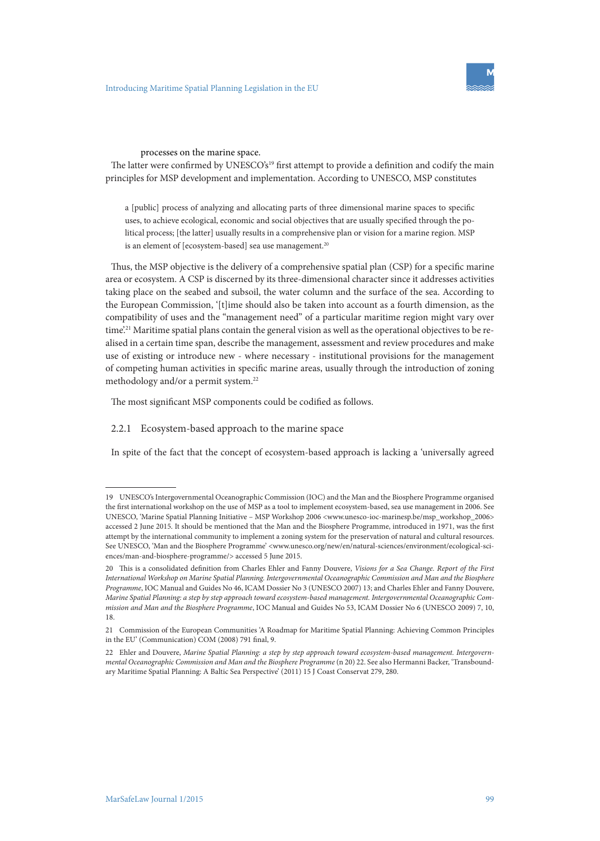

#### processes on the marine space.

The latter were confirmed by UNESCO's<sup>19</sup> first attempt to provide a definition and codify the main principles for MSP development and implementation. According to UNESCO, MSP constitutes

a [public] process of analyzing and allocating parts of three dimensional marine spaces to specific uses, to achieve ecological, economic and social objectives that are usually specified through the political process; [the latter] usually results in a comprehensive plan or vision for a marine region. MSP is an element of [ecosystem-based] sea use management.<sup>20</sup>

Thus, the MSP objective is the delivery of a comprehensive spatial plan (CSP) for a specific marine area or ecosystem. A CSP is discerned by its three-dimensional character since it addresses activities taking place on the seabed and subsoil, the water column and the surface of the sea. According to the European Commission, '[t]ime should also be taken into account as a fourth dimension, as the compatibility of uses and the "management need" of a particular maritime region might vary over time.<sup>21</sup> Maritime spatial plans contain the general vision as well as the operational objectives to be realised in a certain time span, describe the management, assessment and review procedures and make use of existing or introduce new - where necessary - institutional provisions for the management of competing human activities in specific marine areas, usually through the introduction of zoning methodology and/or a permit system.<sup>22</sup>

The most significant MSP components could be codified as follows.

#### 2.2.1 Ecosystem-based approach to the marine space

In spite of the fact that the concept of ecosystem-based approach is lacking a 'universally agreed

<sup>19</sup> UNESCO's Intergovernmental Oceanographic Commission (IOC) and the Man and the Biosphere Programme organised the first international workshop on the use of MSP as a tool to implement ecosystem-based, sea use management in 2006. See UNESCO, 'Marine Spatial Planning Initiative – MSP Workshop 2006 <www.unesco-ioc-marinesp.be/msp\_workshop\_2006> accessed 2 June 2015. It should be mentioned that the Man and the Biosphere Programme, introduced in 1971, was the first attempt by the international community to implement a zoning system for the preservation of natural and cultural resources. See UNESCO, 'Man and the Biosphere Programme' <www.unesco.org/new/en/natural-sciences/environment/ecological-sciences/man-and-biosphere-programme/> accessed 5 June 2015.

<sup>20</sup> This is a consolidated definition from Charles Ehler and Fanny Douvere, *Visions for a Sea Change. Report of the First International Workshop on Marine Spatial Planning. Intergovernmental Oceanographic Commission and Man and the Biosphere Programme*, IOC Manual and Guides No 46, ICAM Dossier No 3 (UNESCO 2007) 13; and Charles Ehler and Fanny Douvere, *Marine Spatial Planning: a step by step approach toward ecosystem-based management. Intergovernmental Oceanographic Commission and Man and the Biosphere Programme*, IOC Manual and Guides No 53, ICAM Dossier No 6 (UNESCO 2009) 7, 10, 18.

<sup>21</sup> Commission of the European Communities 'A Roadmap for Maritime Spatial Planning: Achieving Common Principles in the EU' (Communication) COM (2008) 791 final, 9.

<sup>22</sup> Ehler and Douvere, *Marine Spatial Planning: a step by step approach toward ecosystem-based management. Intergovernmental Oceanographic Commission and Man and the Biosphere Programme* (n 20) 22. See also Hermanni Backer, 'Transboundary Maritime Spatial Planning: A Baltic Sea Perspective' (2011) 15 J Coast Conservat 279, 280.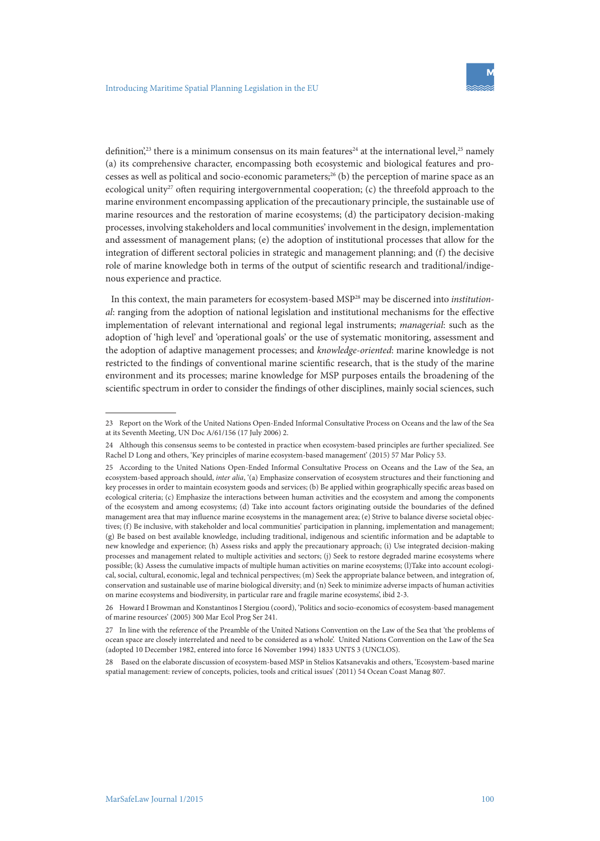

definition<sup>',23</sup> there is a minimum consensus on its main features<sup>24</sup> at the international level,<sup>25</sup> namely (a) its comprehensive character, encompassing both ecosystemic and biological features and processes as well as political and socio-economic parameters;<sup>26</sup> (b) the perception of marine space as an ecological unity<sup>27</sup> often requiring intergovernmental cooperation; (c) the threefold approach to the marine environment encompassing application of the precautionary principle, the sustainable use of marine resources and the restoration of marine ecosystems; (d) the participatory decision-making processes, involving stakeholders and local communities' involvement in the design, implementation and assessment of management plans; (e) the adoption of institutional processes that allow for the integration of different sectoral policies in strategic and management planning; and (f) the decisive role of marine knowledge both in terms of the output of scientific research and traditional/indigenous experience and practice.

In this context, the main parameters for ecosystem-based MSP28 may be discerned into *institutional*: ranging from the adoption of national legislation and institutional mechanisms for the effective implementation of relevant international and regional legal instruments; *managerial*: such as the adoption of 'high level' and 'operational goals' or the use of systematic monitoring, assessment and the adoption of adaptive management processes; and *knowledge-oriented*: marine knowledge is not restricted to the findings of conventional marine scientific research, that is the study of the marine environment and its processes; marine knowledge for MSP purposes entails the broadening of the scientific spectrum in order to consider the findings of other disciplines, mainly social sciences, such

<sup>23</sup> Report on the Work of the United Nations Open-Ended Informal Consultative Process on Oceans and the law of the Sea at its Seventh Meeting, UN Doc A/61/156 (17 July 2006) 2.

<sup>24</sup> Although this consensus seems to be contested in practice when ecosystem-based principles are further specialized. See Rachel D Long and others, 'Key principles of marine ecosystem-based management' (2015) 57 Mar Policy 53.

<sup>25</sup> According to the United Nations Open-Ended Informal Consultative Process on Oceans and the Law of the Sea, an ecosystem-based approach should, *inter alia*, '(a) Emphasize conservation of ecosystem structures and their functioning and key processes in order to maintain ecosystem goods and services; (b) Be applied within geographically specific areas based on ecological criteria; (c) Emphasize the interactions between human activities and the ecosystem and among the components of the ecosystem and among ecosystems; (d) Take into account factors originating outside the boundaries of the defined management area that may influence marine ecosystems in the management area; (e) Strive to balance diverse societal objectives; (f) Be inclusive, with stakeholder and local communities' participation in planning, implementation and management; (g) Be based on best available knowledge, including traditional, indigenous and scientific information and be adaptable to new knowledge and experience; (h) Assess risks and apply the precautionary approach; (i) Use integrated decision-making processes and management related to multiple activities and sectors; (j) Seek to restore degraded marine ecosystems where possible; (k) Assess the cumulative impacts of multiple human activities on marine ecosystems; (l)Take into account ecological, social, cultural, economic, legal and technical perspectives; (m) Seek the appropriate balance between, and integration of, conservation and sustainable use of marine biological diversity; and (n) Seek to minimize adverse impacts of human activities on marine ecosystems and biodiversity, in particular rare and fragile marine ecosystems', ibid 2-3.

<sup>26</sup> Howard I Browman and Konstantinos I Stergiou (coord), 'Politics and socio-economics of ecosystem-based management of marine resources' (2005) 300 Mar Ecol Prog Ser 241.

<sup>27</sup> In line with the reference of the Preamble of the United Nations Convention on the Law of the Sea that 'the problems of ocean space are closely interrelated and need to be considered as a whole'. United Nations Convention on the Law of the Sea (adopted 10 December 1982, entered into force 16 November 1994) 1833 UNTS 3 (UNCLOS).

<sup>28</sup> Based on the elaborate discussion of ecosystem-based MSP in Stelios Katsanevakis and others, 'Ecosystem-based marine spatial management: review of concepts, policies, tools and critical issues' (2011) 54 Ocean Coast Manag 807.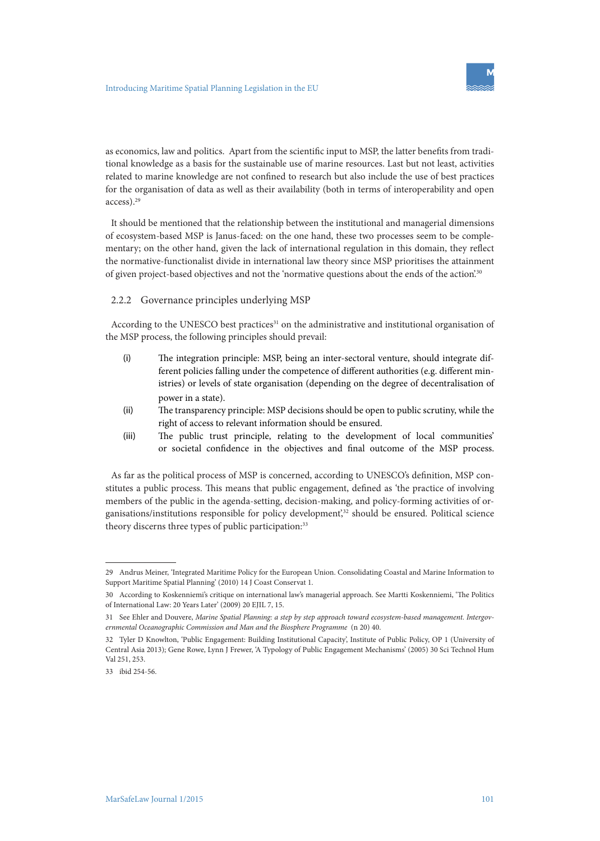

as economics, law and politics. Apart from the scientific input to MSP, the latter benefits from traditional knowledge as a basis for the sustainable use of marine resources. Last but not least, activities related to marine knowledge are not confined to research but also include the use of best practices for the organisation of data as well as their availability (both in terms of interoperability and open access).29

It should be mentioned that the relationship between the institutional and managerial dimensions of ecosystem-based MSP is Janus-faced: on the one hand, these two processes seem to be complementary; on the other hand, given the lack of international regulation in this domain, they reflect the normative-functionalist divide in international law theory since MSP prioritises the attainment of given project-based objectives and not the 'normative questions about the ends of the action.<sup>30</sup>

#### 2.2.2 Governance principles underlying MSP

According to the UNESCO best practices<sup>31</sup> on the administrative and institutional organisation of the MSP process, the following principles should prevail:

- (i) The integration principle: MSP, being an inter-sectoral venture, should integrate different policies falling under the competence of different authorities (e.g. different ministries) or levels of state organisation (depending on the degree of decentralisation of power in a state).
- (ii) The transparency principle: MSP decisions should be open to public scrutiny, while the right of access to relevant information should be ensured.
- (iii) The public trust principle, relating to the development of local communities' or societal confidence in the objectives and final outcome of the MSP process.

As far as the political process of MSP is concerned, according to UNESCO's definition, MSP constitutes a public process. This means that public engagement, defined as 'the practice of involving members of the public in the agenda-setting, decision-making, and policy-forming activities of organisations/institutions responsible for policy development,<sup>32</sup> should be ensured. Political science theory discerns three types of public participation:<sup>33</sup>

<sup>29</sup> Andrus Meiner, 'Integrated Maritime Policy for the European Union. Consolidating Coastal and Marine Information to Support Maritime Spatial Planning' (2010) 14 J Coast Conservat 1.

<sup>30</sup> According to Koskenniemi's critique on international law's managerial approach. See Martti Koskenniemi, 'The Politics of International Law: 20 Years Later' (2009) 20 EJIL 7, 15.

<sup>31</sup> See Ehler and Douvere, *Marine Spatial Planning: a step by step approach toward ecosystem-based management. Intergovernmental Oceanographic Commission and Man and the Biosphere Programme* (n 20) 40.

<sup>32</sup> Tyler D Knowlton, 'Public Engagement: Building Institutional Capacity', Institute of Public Policy, OP 1 (University of Central Asia 2013); Gene Rowe, Lynn J Frewer, 'A Typology of Public Engagement Mechanisms' (2005) 30 Sci Technol Hum Val 251, 253.

<sup>33</sup> ibid 254-56.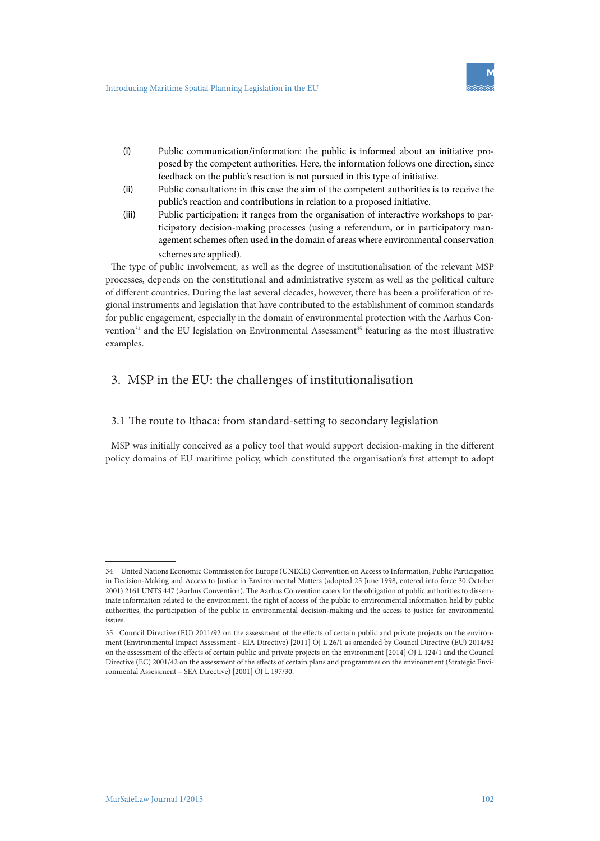

- (i) Public communication/information: the public is informed about an initiative proposed by the competent authorities. Here, the information follows one direction, since feedback on the public's reaction is not pursued in this type of initiative.
- (ii) Public consultation: in this case the aim of the competent authorities is to receive the public's reaction and contributions in relation to a proposed initiative.
- (iii) Public participation: it ranges from the organisation of interactive workshops to participatory decision-making processes (using a referendum, or in participatory management schemes often used in the domain of areas where environmental conservation schemes are applied).

The type of public involvement, as well as the degree of institutionalisation of the relevant MSP processes, depends on the constitutional and administrative system as well as the political culture of different countries. During the last several decades, however, there has been a proliferation of regional instruments and legislation that have contributed to the establishment of common standards for public engagement, especially in the domain of environmental protection with the Aarhus Convention<sup>34</sup> and the EU legislation on Environmental Assessment<sup>35</sup> featuring as the most illustrative examples.

# 3. MSP in the EU: the challenges of institutionalisation

### 3.1 The route to Ithaca: from standard-setting to secondary legislation

MSP was initially conceived as a policy tool that would support decision-making in the different policy domains of EU maritime policy, which constituted the organisation's first attempt to adopt

<sup>34</sup> United Nations Economic Commission for Europe (UNECE) Convention on Access to Information, Public Participation in Decision-Making and Access to Justice in Environmental Matters (adopted 25 June 1998, entered into force 30 October 2001) 2161 UNTS 447 (Aarhus Convention). The Aarhus Convention caters for the obligation of public authorities to disseminate information related to the environment, the right of access of the public to environmental information held by public authorities, the participation of the public in environmental decision-making and the access to justice for environmental issues.

<sup>35</sup> Council Directive (EU) 2011/92 on the assessment of the effects of certain public and private projects on the environment (Environmental Impact Assessment - EIA Directive) [2011] OJ L 26/1 as amended by Council Directive (EU) 2014/52 on the assessment of the effects of certain public and private projects on the environment [2014] OJ L 124/1 and the Council Directive (EC) 2001/42 on the assessment of the effects of certain plans and programmes on the environment (Strategic Environmental Assessment – SEA Directive) [2001] OJ L 197/30.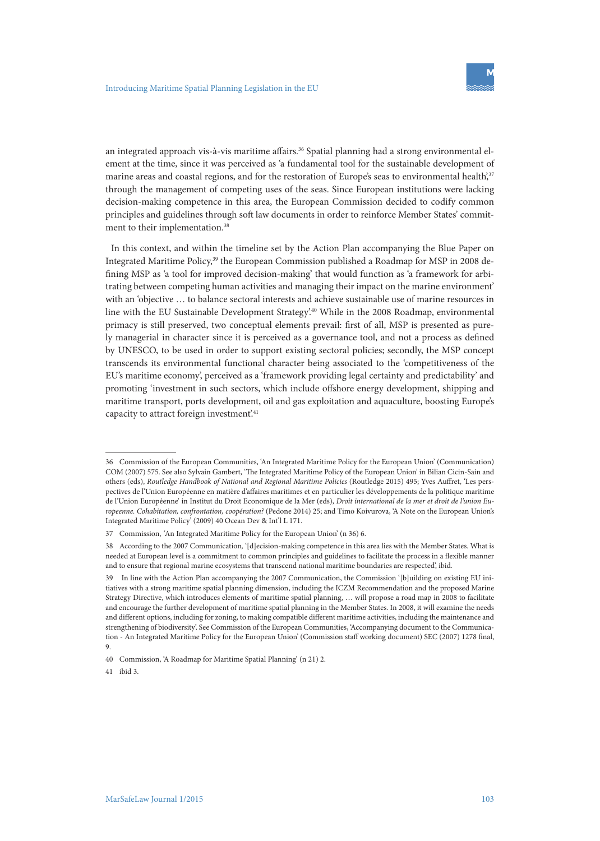

an integrated approach vis-à-vis maritime affairs.<sup>36</sup> Spatial planning had a strong environmental element at the time, since it was perceived as 'a fundamental tool for the sustainable development of marine areas and coastal regions, and for the restoration of Europe's seas to environmental health',<sup>37</sup> through the management of competing uses of the seas. Since European institutions were lacking decision-making competence in this area, the European Commission decided to codify common principles and guidelines through soft law documents in order to reinforce Member States' commitment to their implementation.<sup>38</sup>

In this context, and within the timeline set by the Action Plan accompanying the Blue Paper on Integrated Maritime Policy,<sup>39</sup> the European Commission published a Roadmap for MSP in 2008 defining MSP as 'a tool for improved decision-making' that would function as 'a framework for arbitrating between competing human activities and managing their impact on the marine environment' with an 'objective … to balance sectoral interests and achieve sustainable use of marine resources in line with the EU Sustainable Development Strategy'.40 While in the 2008 Roadmap, environmental primacy is still preserved, two conceptual elements prevail: first of all, MSP is presented as purely managerial in character since it is perceived as a governance tool, and not a process as defined by UNESCO, to be used in order to support existing sectoral policies; secondly, the MSP concept transcends its environmental functional character being associated to the 'competitiveness of the EU's maritime economy', perceived as a 'framework providing legal certainty and predictability' and promoting 'investment in such sectors, which include offshore energy development, shipping and maritime transport, ports development, oil and gas exploitation and aquaculture, boosting Europe's capacity to attract foreign investment.<sup>41</sup>

41 ibid 3.

<sup>36</sup> Commission of the European Communities, 'An Integrated Maritime Policy for the European Union' (Communication) COM (2007) 575. See also Sylvain Gambert, 'The Integrated Maritime Policy of the European Union' in Bilian Cicin-Sain and others (eds), *Routledge Handbook of National and Regional Maritime Policies* (Routledge 2015) 495; Yves Auffret, 'Les perspectives de l'Union Européenne en matière d'affaires maritimes et en particulier les développements de la politique maritime de l'Union Européenne' in Institut du Droit Economique de la Mer (eds), *Droit international de la mer et droit de l'union Europeenne. Cohabitation, confrontation, coopération?* (Pedone 2014) 25; and Timo Koivurova, 'A Note on the European Union's Integrated Maritime Policy' (2009) 40 Ocean Dev & Int'l L 171.

<sup>37</sup> Commission, *'*An Integrated Maritime Policy for the European Union' (n 36) 6.

<sup>38</sup> According to the 2007 Communication*,* '[d]ecision-making competence in this area lies with the Member States. What is needed at European level is a commitment to common principles and guidelines to facilitate the process in a flexible manner and to ensure that regional marine ecosystems that transcend national maritime boundaries are respected', ibid*.*

<sup>39</sup> In line with the Action Plan accompanying the 2007 Communication, the Commission '[b]uilding on existing EU initiatives with a strong maritime spatial planning dimension, including the ICZM Recommendation and the proposed Marine Strategy Directive, which introduces elements of maritime spatial planning, … will propose a road map in 2008 to facilitate and encourage the further development of maritime spatial planning in the Member States. In 2008, it will examine the needs and different options, including for zoning, to making compatible different maritime activities, including the maintenance and strengthening of biodiversity'. See Commission of the European Communities, 'Accompanying document to the Communication - An Integrated Maritime Policy for the European Union' (Commission staff working document) SEC (2007) 1278 final, 9.

<sup>40</sup> Commission, 'A Roadmap for Maritime Spatial Planning' (n 21) 2.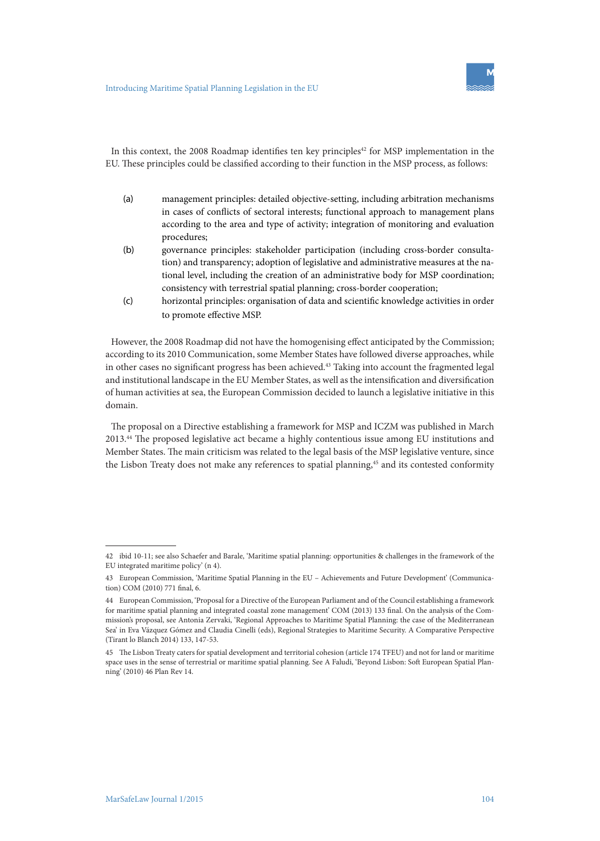

In this context, the 2008 Roadmap identifies ten key principles<sup>42</sup> for MSP implementation in the EU. These principles could be classified according to their function in the MSP process, as follows:

- (a) management principles: detailed objective-setting, including arbitration mechanisms in cases of conflicts of sectoral interests; functional approach to management plans according to the area and type of activity; integration of monitoring and evaluation procedures;
- (b) governance principles: stakeholder participation (including cross-border consultation) and transparency; adoption of legislative and administrative measures at the national level, including the creation of an administrative body for MSP coordination; consistency with terrestrial spatial planning; cross-border cooperation;
- (c) horizontal principles: organisation of data and scientific knowledge activities in order to promote effective MSP.

However, the 2008 Roadmap did not have the homogenising effect anticipated by the Commission; according to its 2010 Communication, some Member States have followed diverse approaches, while in other cases no significant progress has been achieved.<sup>43</sup> Taking into account the fragmented legal and institutional landscape in the EU Member States, as well as the intensification and diversification of human activities at sea, the European Commission decided to launch a legislative initiative in this domain.

The proposal on a Directive establishing a framework for MSP and ICZM was published in March 2013.44 The proposed legislative act became a highly contentious issue among EU institutions and Member States. The main criticism was related to the legal basis of the MSP legislative venture, since the Lisbon Treaty does not make any references to spatial planning,<sup>45</sup> and its contested conformity

<sup>42</sup> ibid 10-11; see also Schaefer and Barale, 'Maritime spatial planning: opportunities & challenges in the framework of the EU integrated maritime policy' (n 4).

<sup>43</sup> European Commission, 'Maritime Spatial Planning in the EU – Achievements and Future Development' (Communication) COM (2010) 771 final, 6.

<sup>44</sup> European Commission, 'Proposal for a Directive of the European Parliament and of the Council establishing a framework for maritime spatial planning and integrated coastal zone management' COM (2013) 133 final. On the analysis of the Commission's proposal, see Antonia Zervaki, 'Regional Approaches to Maritime Spatial Planning: the case of the Mediterranean Sea' in Eva Vázquez Gómez and Claudia Cinelli (eds), Regional Strategies to Maritime Security. A Comparative Perspective (Tirant lo Blanch 2014) 133, 147-53.

<sup>45</sup> The Lisbon Treaty caters for spatial development and territorial cohesion (article 174 TFEU) and not for land or maritime space uses in the sense of terrestrial or maritime spatial planning. See A Faludi, 'Beyond Lisbon: Soft European Spatial Planning' (2010) 46 Plan Rev 14.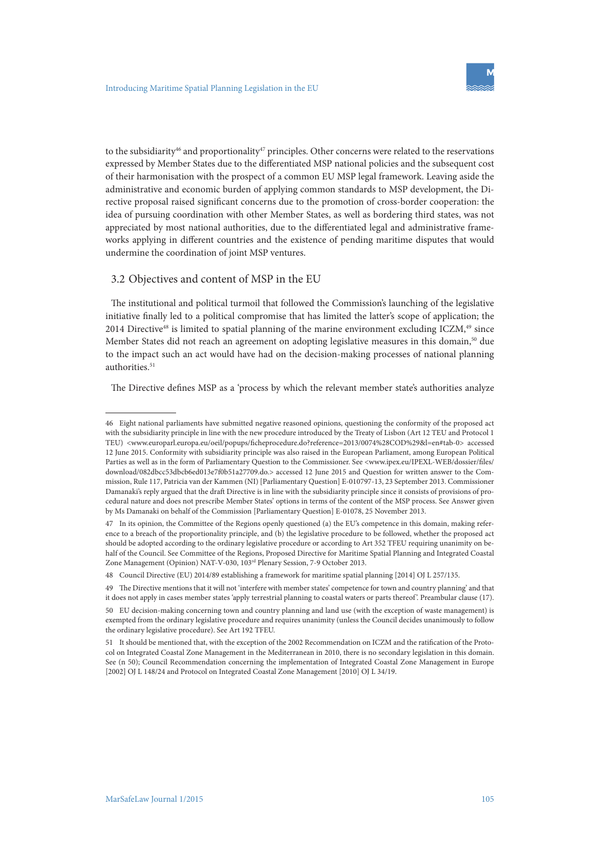

to the subsidiarity<sup>46</sup> and proportionality<sup>47</sup> principles. Other concerns were related to the reservations expressed by Member States due to the differentiated MSP national policies and the subsequent cost of their harmonisation with the prospect of a common EU MSP legal framework. Leaving aside the administrative and economic burden of applying common standards to MSP development, the Directive proposal raised significant concerns due to the promotion of cross-border cooperation: the idea of pursuing coordination with other Member States, as well as bordering third states, was not appreciated by most national authorities, due to the differentiated legal and administrative frameworks applying in different countries and the existence of pending maritime disputes that would undermine the coordination of joint MSP ventures.

#### 3.2 Objectives and content of MSP in the EU

The institutional and political turmoil that followed the Commission's launching of the legislative initiative finally led to a political compromise that has limited the latter's scope of application; the 2014 Directive $48$  is limited to spatial planning of the marine environment excluding ICZM, $49$  since Member States did not reach an agreement on adopting legislative measures in this domain,<sup>50</sup> due to the impact such an act would have had on the decision-making processes of national planning authorities.<sup>51</sup>

The Directive defines MSP as a 'process by which the relevant member state's authorities analyze

<sup>46</sup> Eight national parliaments have submitted negative reasoned opinions, questioning the conformity of the proposed act with the subsidiarity principle in line with the new procedure introduced by the Treaty of Lisbon (Art 12 TEU and Protocol 1 TEU) <www.europarl.europa.eu/oeil/popups/ficheprocedure.do?reference=2013/0074%28COD%29&l=en#tab-0> accessed 12 June 2015. Conformity with subsidiarity principle was also raised in the European Parliament, among European Political Parties as well as in the form of Parliamentary Question to the Commissioner. See <www.ipex.eu/IPEXL-WEB/dossier/files/ download/082dbcc53dbcb6ed013e7f0b51a27709.do.> accessed 12 June 2015 and Question for written answer to the Commission, Rule 117, Patricia van der Kammen (NI) [Parliamentary Question] E-010797-13, 23 September 2013. Commissioner Damanaki's reply argued that the draft Directive is in line with the subsidiarity principle since it consists of provisions of procedural nature and does not prescribe Member States' options in terms of the content of the MSP process. See Answer given by Ms Damanaki on behalf of the Commission [Parliamentary Question] E-01078, 25 November 2013.

<sup>47</sup> In its opinion, the Committee of the Regions openly questioned (a) the EU's competence in this domain, making reference to a breach of the proportionality principle, and (b) the legislative procedure to be followed, whether the proposed act should be adopted according to the ordinary legislative procedure or according to Art 352 TFEU requiring unanimity on behalf of the Council. See Committee of the Regions, Proposed Directive for Maritime Spatial Planning and Integrated Coastal Zone Management (Opinion) NAT-V-030, 103rd Plenary Session, 7-9 October 2013.

<sup>48</sup> Council Directive (EU) 2014/89 establishing a framework for maritime spatial planning [2014] OJ L 257/135.

<sup>49</sup> The Directive mentions that it will not 'interfere with member states' competence for town and country planning' and that it does not apply in cases member states 'apply terrestrial planning to coastal waters or parts thereof '. Preambular clause (17).

<sup>50</sup> EU decision-making concerning town and country planning and land use (with the exception of waste management) is exempted from the ordinary legislative procedure and requires unanimity (unless the Council decides unanimously to follow the ordinary legislative procedure). See Art 192 TFEU.

<sup>51</sup> It should be mentioned that, with the exception of the 2002 Recommendation on ICZM and the ratification of the Protocol on Integrated Coastal Zone Management in the Mediterranean in 2010, there is no secondary legislation in this domain. See (n 50); Council Recommendation concerning the implementation of Integrated Coastal Zone Management in Europe [2002] OJ L 148/24 and Protocol on Integrated Coastal Zone Management [2010] OJ L 34/19.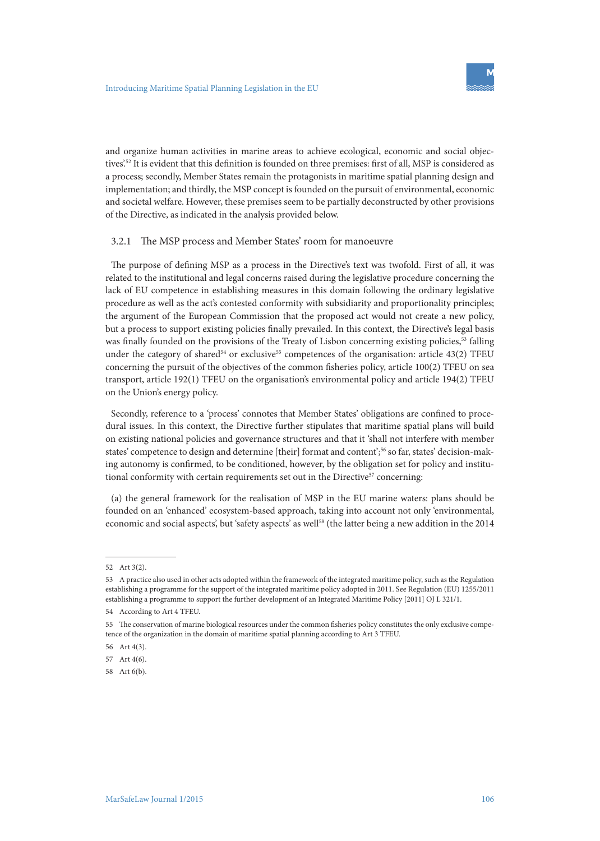

and organize human activities in marine areas to achieve ecological, economic and social objectives'.52 It is evident that this definition is founded on three premises: first of all, MSP is considered as a process; secondly, Member States remain the protagonists in maritime spatial planning design and implementation; and thirdly, the MSP concept is founded on the pursuit of environmental, economic and societal welfare. However, these premises seem to be partially deconstructed by other provisions of the Directive, as indicated in the analysis provided below.

#### 3.2.1 The MSP process and Member States' room for manoeuvre

The purpose of defining MSP as a process in the Directive's text was twofold. First of all, it was related to the institutional and legal concerns raised during the legislative procedure concerning the lack of EU competence in establishing measures in this domain following the ordinary legislative procedure as well as the act's contested conformity with subsidiarity and proportionality principles; the argument of the European Commission that the proposed act would not create a new policy, but a process to support existing policies finally prevailed. In this context, the Directive's legal basis was finally founded on the provisions of the Treaty of Lisbon concerning existing policies,<sup>53</sup> falling under the category of shared<sup>54</sup> or exclusive<sup>55</sup> competences of the organisation: article 43(2) TFEU concerning the pursuit of the objectives of the common fisheries policy, article 100(2) TFEU on sea transport, article 192(1) TFEU on the organisation's environmental policy and article 194(2) TFEU on the Union's energy policy.

Secondly, reference to a 'process' connotes that Member States' obligations are confined to procedural issues. In this context, the Directive further stipulates that maritime spatial plans will build on existing national policies and governance structures and that it 'shall not interfere with member states' competence to design and determine [their] format and content';56 so far, states' decision-making autonomy is confirmed, to be conditioned, however, by the obligation set for policy and institutional conformity with certain requirements set out in the Directive<sup>57</sup> concerning:

(a) the general framework for the realisation of MSP in the EU marine waters: plans should be founded on an 'enhanced' ecosystem-based approach, taking into account not only 'environmental, economic and social aspects', but 'safety aspects' as well<sup>58</sup> (the latter being a new addition in the 2014

<sup>52</sup> Art 3(2).

<sup>53</sup> A practice also used in other acts adopted within the framework of the integrated maritime policy, such as the Regulation establishing a programme for the support of the integrated maritime policy adopted in 2011. See Regulation (EU) 1255/2011 establishing a programme to support the further development of an Integrated Maritime Policy [2011] OJ L 321/1.

<sup>54</sup> According to Art 4 TFEU.

<sup>55</sup> The conservation of marine biological resources under the common fisheries policy constitutes the only exclusive competence of the organization in the domain of maritime spatial planning according to Art 3 TFEU.

<sup>56</sup> Art 4(3).

<sup>57</sup> Art 4(6).

<sup>58</sup> Art 6(b).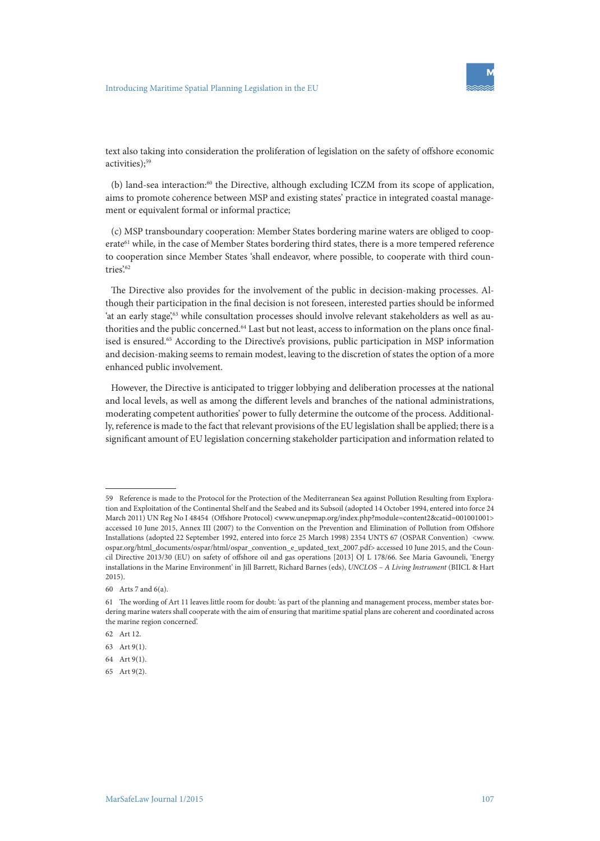

text also taking into consideration the proliferation of legislation on the safety of offshore economic activities);<sup>59</sup>

(b) land-sea interaction:60 the Directive, although excluding ICZM from its scope of application, aims to promote coherence between MSP and existing states' practice in integrated coastal management or equivalent formal or informal practice;

(c) MSP transboundary cooperation: Member States bordering marine waters are obliged to cooperate<sup>61</sup> while, in the case of Member States bordering third states, there is a more tempered reference to cooperation since Member States 'shall endeavor, where possible, to cooperate with third countries'.<sup>62</sup>

The Directive also provides for the involvement of the public in decision-making processes. Although their participation in the final decision is not foreseen, interested parties should be informed 'at an early stage',<sup>63</sup> while consultation processes should involve relevant stakeholders as well as authorities and the public concerned.<sup>64</sup> Last but not least, access to information on the plans once finalised is ensured.<sup>65</sup> According to the Directive's provisions, public participation in MSP information and decision-making seems to remain modest, leaving to the discretion of states the option of a more enhanced public involvement.

However, the Directive is anticipated to trigger lobbying and deliberation processes at the national and local levels, as well as among the different levels and branches of the national administrations, moderating competent authorities' power to fully determine the outcome of the process. Additionally, reference is made to the fact that relevant provisions of the EU legislation shall be applied; there is a significant amount of EU legislation concerning stakeholder participation and information related to

<sup>59</sup> Reference is made to the Protocol for the Protection of the Mediterranean Sea against Pollution Resulting from Exploration and Exploitation of the Continental Shelf and the Seabed and its Subsoil (adopted 14 October 1994, entered into force 24 March 2011) UN Reg No I 48454 (Offshore Protocol) **<**www.unepmap.org/index.php?module=content2&catid=001001001> accessed 10 June 2015, Annex III (2007) to the Convention on the Prevention and Elimination of Pollution from Offshore Installations (adopted 22 September 1992, entered into force 25 March 1998) 2354 UNTS 67 (OSPAR Convention) <www. ospar.org/html\_documents/ospar/html/ospar\_convention\_e\_updated\_text\_2007.pdf> accessed 10 June 2015, and the Council Directive 2013/30 (EU) on safety of offshore oil and gas operations [2013] OJ L 178/66. See Maria Gavouneli, 'Energy installations in the Marine Environment' in Jill Barrett, Richard Barnes (eds), *UNCLOS – A Living Instrument* (BIICL & Hart 2015).

<sup>60</sup> Arts 7 and 6(a).

<sup>61</sup> The wording of Art 11 leaves little room for doubt: 'as part of the planning and management process, member states bordering marine waters shall cooperate with the aim of ensuring that maritime spatial plans are coherent and coordinated across the marine region concerned'.

<sup>62</sup> Art 12.

<sup>63</sup> Art 9(1).

<sup>64</sup> Art 9(1).

<sup>65</sup> Art 9(2).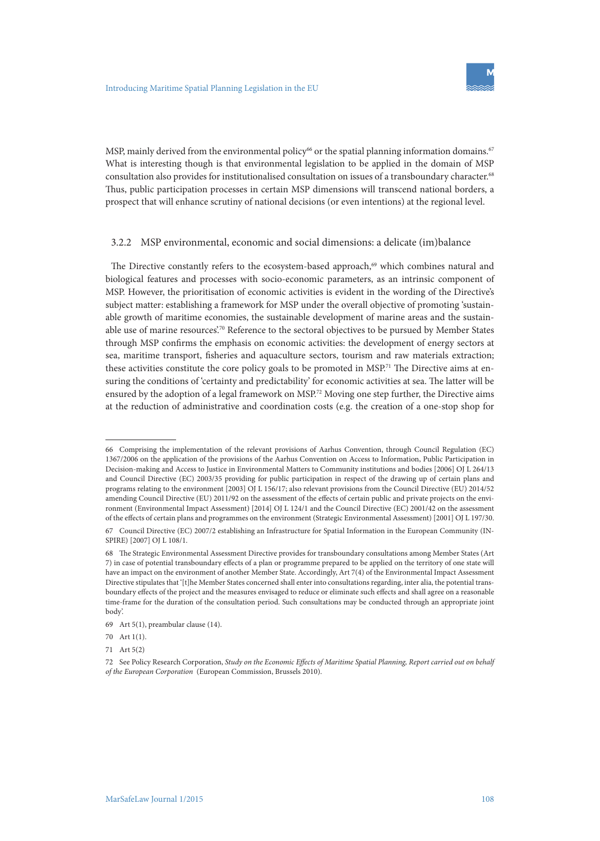

MSP, mainly derived from the environmental policy<sup>66</sup> or the spatial planning information domains.<sup>67</sup> What is interesting though is that environmental legislation to be applied in the domain of MSP consultation also provides for institutionalised consultation on issues of a transboundary character.68 Thus, public participation processes in certain MSP dimensions will transcend national borders, a prospect that will enhance scrutiny of national decisions (or even intentions) at the regional level.

#### 3.2.2 MSP environmental, economic and social dimensions: a delicate (im)balance

The Directive constantly refers to the ecosystem-based approach, $69$  which combines natural and biological features and processes with socio-economic parameters, as an intrinsic component of MSP. However, the prioritisation of economic activities is evident in the wording of the Directive's subject matter: establishing a framework for MSP under the overall objective of promoting 'sustainable growth of maritime economies, the sustainable development of marine areas and the sustainable use of marine resources'.70 Reference to the sectoral objectives to be pursued by Member States through MSP confirms the emphasis on economic activities: the development of energy sectors at sea, maritime transport, fisheries and aquaculture sectors, tourism and raw materials extraction; these activities constitute the core policy goals to be promoted in MSP.<sup>71</sup> The Directive aims at ensuring the conditions of 'certainty and predictability' for economic activities at sea. The latter will be ensured by the adoption of a legal framework on MSP.<sup>72</sup> Moving one step further, the Directive aims at the reduction of administrative and coordination costs (e.g. the creation of a one-stop shop for

<sup>66</sup> Comprising the implementation of the relevant provisions of Aarhus Convention, through Council Regulation (EC) 1367/2006 on the application of the provisions of the Aarhus Convention on Access to Information, Public Participation in Decision-making and Access to Justice in Environmental Matters to Community institutions and bodies [2006] OJ L 264/13 and Council Directive (EC) 2003/35 providing for public participation in respect of the drawing up of certain plans and programs relating to the environment [2003] OJ L 156/17; also relevant provisions from the Council Directive (EU) 2014/52 amending Council Directive (EU) 2011/92 on the assessment of the effects of certain public and private projects on the environment (Environmental Impact Assessment) [2014] OJ L 124/1 and the Council Directive (EC) 2001/42 on the assessment of the effects of certain plans and programmes on the environment (Strategic Environmental Assessment) [2001] OJ L 197/30. 67 Council Directive (EC) 2007/2 establishing an Infrastructure for Spatial Information in the European Community (IN-SPIRE) [2007] OJ L 108/1.

<sup>68</sup> The Strategic Environmental Assessment Directive provides for transboundary consultations among Member States (Art 7) in case of potential transboundary effects of a plan or programme prepared to be applied on the territory of one state will have an impact on the environment of another Member State. Accordingly, Art 7(4) of the Environmental Impact Assessment Directive stipulates that '[t]he Member States concerned shall enter into consultations regarding, inter alia, the potential transboundary effects of the project and the measures envisaged to reduce or eliminate such effects and shall agree on a reasonable time-frame for the duration of the consultation period. Such consultations may be conducted through an appropriate joint body'.

<sup>69</sup> Art 5(1), preambular clause (14).

<sup>70</sup> Art 1(1).

<sup>71</sup> Art 5(2)

<sup>72</sup> See Policy Research Corporation, *Study on the Economic Effects of Maritime Spatial Planning, Report carried out on behalf of the European Corporation* (European Commission, Brussels 2010).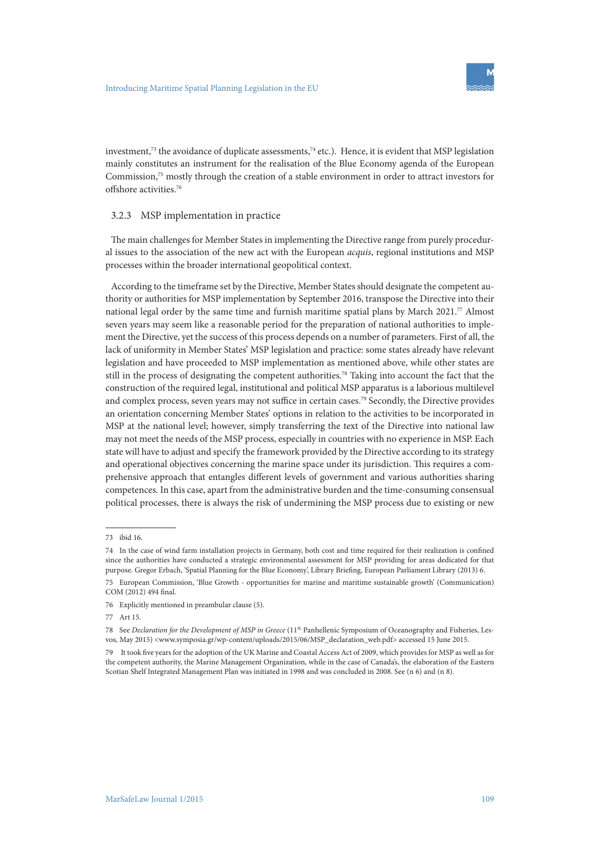

investment,<sup>73</sup> the avoidance of duplicate assessments,<sup>74</sup> etc.). Hence, it is evident that MSP legislation mainly constitutes an instrument for the realisation of the Blue Economy agenda of the European Commission,75 mostly through the creation of a stable environment in order to attract investors for offshore activities.76

#### 3.2.3 MSP implementation in practice

The main challenges for Member States in implementing the Directive range from purely procedural issues to the association of the new act with the European *acquis*, regional institutions and MSP processes within the broader international geopolitical context.

According to the timeframe set by the Directive, Member States should designate the competent authority or authorities for MSP implementation by September 2016, transpose the Directive into their national legal order by the same time and furnish maritime spatial plans by March 2021.77 Almost seven years may seem like a reasonable period for the preparation of national authorities to implement the Directive, yet the success of this process depends on a number of parameters. First of all, the lack of uniformity in Member States' MSP legislation and practice: some states already have relevant legislation and have proceeded to MSP implementation as mentioned above, while other states are still in the process of designating the competent authorities.78 Taking into account the fact that the construction of the required legal, institutional and political MSP apparatus is a laborious multilevel and complex process, seven years may not suffice in certain cases.79 Secondly, the Directive provides an orientation concerning Member States' options in relation to the activities to be incorporated in MSP at the national level; however, simply transferring the text of the Directive into national law may not meet the needs of the MSP process, especially in countries with no experience in MSP. Each state will have to adjust and specify the framework provided by the Directive according to its strategy and operational objectives concerning the marine space under its jurisdiction. This requires a comprehensive approach that entangles different levels of government and various authorities sharing competences. In this case, apart from the administrative burden and the time-consuming consensual political processes, there is always the risk of undermining the MSP process due to existing or new

<sup>73</sup> ibid 16.

<sup>74</sup> In the case of wind farm installation projects in Germany, both cost and time required for their realization is confined since the authorities have conducted a strategic environmental assessment for MSP providing for areas dedicated for that purpose. Gregor Erbach, 'Spatial Planning for the Blue Economy', Library Briefing, European Parliament Library (2013) 6.

<sup>75</sup> European Commission, 'Blue Growth - opportunities for marine and maritime sustainable growth' (Communication) COM (2012) 494 final.

<sup>76</sup> Explicitly mentioned in preambular clause (5).

<sup>77</sup> Art 15.

<sup>78</sup> See *Declaration for the Development of MSP in Greece* (11th Panhellenic Symposium of Oceanography and Fisheries, Lesvos, May 2015) <www.symposia.gr/wp-content/uploads/2015/06/MSP\_declaration\_web.pdf> accessed 15 June 2015.

<sup>79</sup> It took five years for the adoption of the UK Marine and Coastal Access Act of 2009, which provides for MSP as well as for the competent authority, the Marine Management Organization, while in the case of Canada's, the elaboration of the Eastern Scotian Shelf Integrated Management Plan was initiated in 1998 and was concluded in 2008. See (n 6) and (n 8).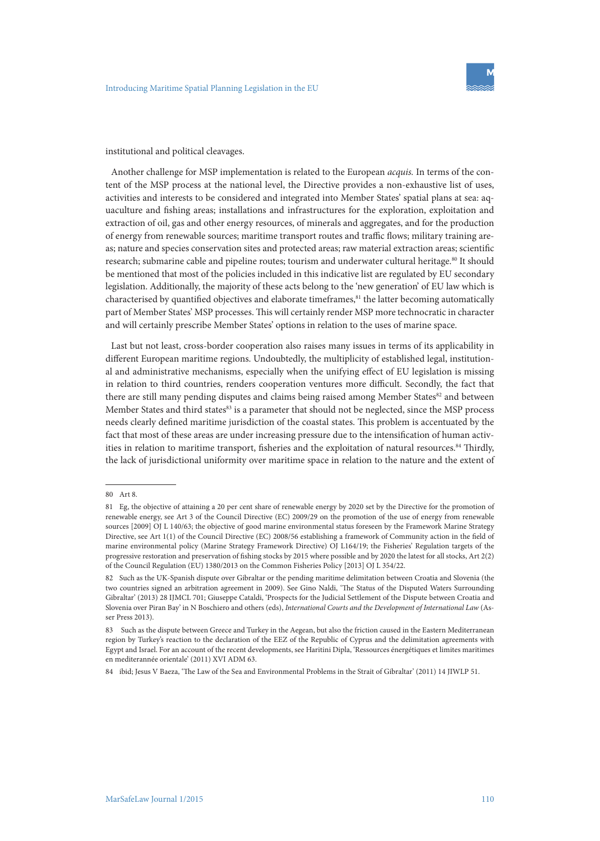

institutional and political cleavages.

Another challenge for MSP implementation is related to the European *acquis.* In terms of the content of the MSP process at the national level, the Directive provides a non-exhaustive list of uses, activities and interests to be considered and integrated into Member States' spatial plans at sea: aquaculture and fishing areas; installations and infrastructures for the exploration, exploitation and extraction of oil, gas and other energy resources, of minerals and aggregates, and for the production of energy from renewable sources; maritime transport routes and traffic flows; military training areas; nature and species conservation sites and protected areas; raw material extraction areas; scientific research; submarine cable and pipeline routes; tourism and underwater cultural heritage.<sup>80</sup> It should be mentioned that most of the policies included in this indicative list are regulated by EU secondary legislation. Additionally, the majority of these acts belong to the 'new generation' of EU law which is characterised by quantified objectives and elaborate timeframes, ${}^{81}$  the latter becoming automatically part of Member States' MSP processes. This will certainly render MSP more technocratic in character and will certainly prescribe Member States' options in relation to the uses of marine space.

Last but not least, cross-border cooperation also raises many issues in terms of its applicability in different European maritime regions. Undoubtedly, the multiplicity of established legal, institutional and administrative mechanisms, especially when the unifying effect of EU legislation is missing in relation to third countries, renders cooperation ventures more difficult. Secondly, the fact that there are still many pending disputes and claims being raised among Member States<sup>82</sup> and between Member States and third states<sup>83</sup> is a parameter that should not be neglected, since the MSP process needs clearly defined maritime jurisdiction of the coastal states. This problem is accentuated by the fact that most of these areas are under increasing pressure due to the intensification of human activities in relation to maritime transport, fisheries and the exploitation of natural resources.<sup>84</sup> Thirdly, the lack of jurisdictional uniformity over maritime space in relation to the nature and the extent of

<sup>80</sup> Art 8.

<sup>81</sup> Eg, the objective of attaining a 20 per cent share of renewable energy by 2020 set by the Directive for the promotion of renewable energy, see Art 3 of the Council Directive (EC) 2009/29 on the promotion of the use of energy from renewable sources [2009] OJ L 140/63; the objective of good marine environmental status foreseen by the Framework Marine Strategy Directive, see Art 1(1) of the Council Directive (EC) 2008/56 establishing a framework of Community action in the field of marine environmental policy (Marine Strategy Framework Directive) OJ L164/19; the Fisheries' Regulation targets of the progressive restoration and preservation of fishing stocks by 2015 where possible and by 2020 the latest for all stocks, Art 2(2) of the Council Regulation (EU) 1380/2013 on the Common Fisheries Policy [2013] OJ L 354/22.

<sup>82</sup> Such as the UK-Spanish dispute over Gibraltar or the pending maritime delimitation between Croatia and Slovenia (the two countries signed an arbitration agreement in 2009). See Gino Naldi, 'The Status of the Disputed Waters Surrounding Gibraltar' (2013) 28 IJMCL 701; Giuseppe Cataldi, 'Prospects for the Judicial Settlement of the Dispute between Croatia and Slovenia over Piran Bay' in N Boschiero and others (eds), *International Courts and the Development of International Law* (Asser Press 2013).

<sup>83</sup> Such as the dispute between Greece and Turkey in the Aegean, but also the friction caused in the Eastern Mediterranean region by Turkey's reaction to the declaration of the EEZ of the Republic of Cyprus and the delimitation agreements with Egypt and Israel. For an account of the recent developments, see Haritini Dipla, 'Ressources énergétiques et limites maritimes en mediterannée orientale' (2011) XVI ADM 63.

<sup>84</sup> ibid; Jesus V Baeza, 'The Law of the Sea and Environmental Problems in the Strait of Gibraltar' (2011) 14 JIWLP 51.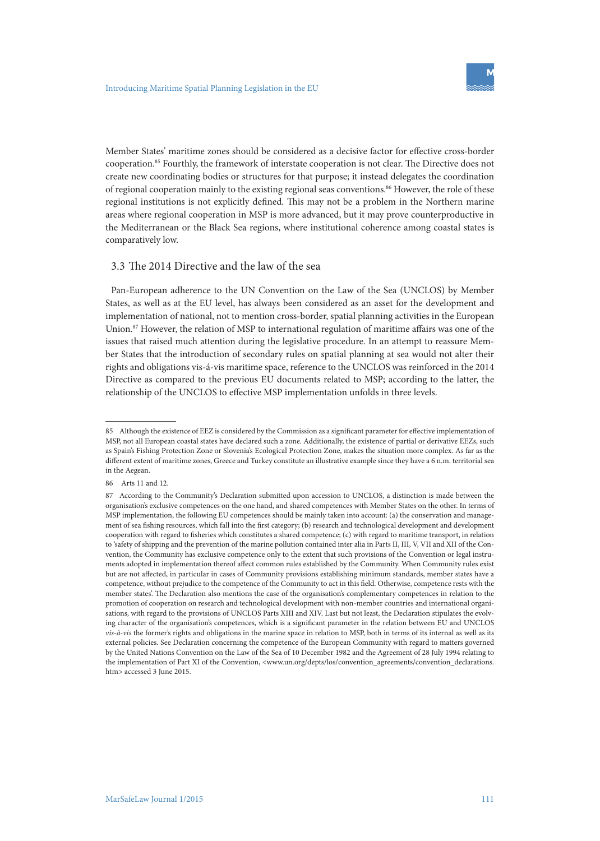

Member States' maritime zones should be considered as a decisive factor for effective cross-border cooperation.85 Fourthly, the framework of interstate cooperation is not clear. The Directive does not create new coordinating bodies or structures for that purpose; it instead delegates the coordination of regional cooperation mainly to the existing regional seas conventions.<sup>86</sup> However, the role of these regional institutions is not explicitly defined. This may not be a problem in the Northern marine areas where regional cooperation in MSP is more advanced, but it may prove counterproductive in the Mediterranean or the Black Sea regions, where institutional coherence among coastal states is comparatively low.

#### 3.3 The 2014 Directive and the law of the sea

Pan-European adherence to the UN Convention on the Law of the Sea (UNCLOS) by Member States, as well as at the EU level, has always been considered as an asset for the development and implementation of national, not to mention cross-border, spatial planning activities in the European Union.87 However, the relation of MSP to international regulation of maritime affairs was one of the issues that raised much attention during the legislative procedure. In an attempt to reassure Member States that the introduction of secondary rules on spatial planning at sea would not alter their rights and obligations vis-á-vis maritime space, reference to the UNCLOS was reinforced in the 2014 Directive as compared to the previous EU documents related to MSP; according to the latter, the relationship of the UNCLOS to effective MSP implementation unfolds in three levels.

<sup>85</sup> Although the existence of EEZ is considered by the Commission as a significant parameter for effective implementation of MSP, not all European coastal states have declared such a zone. Additionally, the existence of partial or derivative EEZs, such as Spain's Fishing Protection Zone or Slovenia's Ecological Protection Zone, makes the situation more complex. As far as the different extent of maritime zones, Greece and Turkey constitute an illustrative example since they have a 6 n.m. territorial sea in the Aegean.

<sup>86</sup> Arts 11 and 12.

<sup>87</sup> According to the Community's Declaration submitted upon accession to UNCLOS, a distinction is made between the organisation's exclusive competences on the one hand, and shared competences with Member States on the other. In terms of MSP implementation, the following EU competences should be mainly taken into account: (a) the conservation and management of sea fishing resources, which fall into the first category; (b) research and technological development and development cooperation with regard to fisheries which constitutes a shared competence; (c) with regard to maritime transport, in relation to 'safety of shipping and the prevention of the marine pollution contained inter alia in Parts II, III, V, VII and XII of the Convention, the Community has exclusive competence only to the extent that such provisions of the Convention or legal instruments adopted in implementation thereof affect common rules established by the Community. When Community rules exist but are not affected, in particular in cases of Community provisions establishing minimum standards, member states have a competence, without prejudice to the competence of the Community to act in this field. Otherwise, competence rests with the member states'. The Declaration also mentions the case of the organisation's complementary competences in relation to the promotion of cooperation on research and technological development with non-member countries and international organisations, with regard to the provisions of UNCLOS Parts XIII and XIV. Last but not least, the Declaration stipulates the evolving character of the organisation's competences, which is a significant parameter in the relation between EU and UNCLOS *vis-à-vis* the former's rights and obligations in the marine space in relation to MSP, both in terms of its internal as well as its external policies. See Declaration concerning the competence of the European Community with regard to matters governed by the United Nations Convention on the Law of the Sea of 10 December 1982 and the Agreement of 28 July 1994 relating to the implementation of Part XI of the Convention, <www.un.org/depts/los/convention\_agreements/convention\_declarations. htm> accessed 3 June 2015.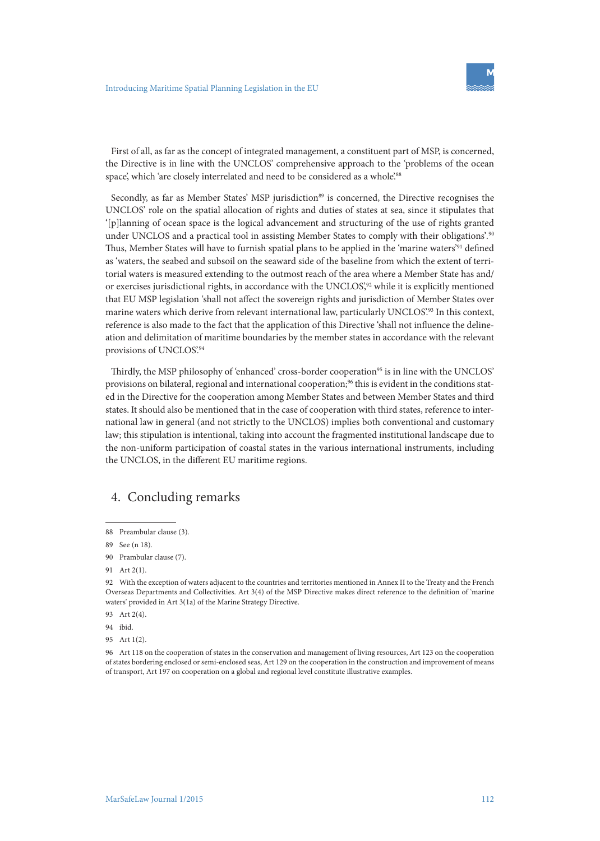

First of all, as far as the concept of integrated management, a constituent part of MSP, is concerned, the Directive is in line with the UNCLOS' comprehensive approach to the 'problems of the ocean space', which 'are closely interrelated and need to be considered as a whole'.88

Secondly, as far as Member States' MSP jurisdiction<sup>89</sup> is concerned, the Directive recognises the UNCLOS' role on the spatial allocation of rights and duties of states at sea, since it stipulates that '[p]lanning of ocean space is the logical advancement and structuring of the use of rights granted under UNCLOS and a practical tool in assisting Member States to comply with their obligations'*.* 90 Thus, Member States will have to furnish spatial plans to be applied in the 'marine waters'91 defined as 'waters, the seabed and subsoil on the seaward side of the baseline from which the extent of territorial waters is measured extending to the outmost reach of the area where a Member State has and/ or exercises jurisdictional rights, in accordance with the UNCLOS',<sup>92</sup> while it is explicitly mentioned that EU MSP legislation 'shall not affect the sovereign rights and jurisdiction of Member States over marine waters which derive from relevant international law, particularly UNCLOS.<sup>93</sup> In this context, reference is also made to the fact that the application of this Directive 'shall not influence the delineation and delimitation of maritime boundaries by the member states in accordance with the relevant provisions of UNCLOS'.94

Thirdly, the MSP philosophy of 'enhanced' cross-border cooperation<sup>95</sup> is in line with the UNCLOS' provisions on bilateral, regional and international cooperation;<sup>96</sup> this is evident in the conditions stated in the Directive for the cooperation among Member States and between Member States and third states. It should also be mentioned that in the case of cooperation with third states, reference to international law in general (and not strictly to the UNCLOS) implies both conventional and customary law; this stipulation is intentional, taking into account the fragmented institutional landscape due to the non-uniform participation of coastal states in the various international instruments, including the UNCLOS, in the different EU maritime regions.

# 4. Concluding remarks

88 Preambular clause (3).

<sup>89</sup> See (n 18).

<sup>90</sup> Prambular clause (7).

<sup>91</sup> Art 2(1).

<sup>92</sup> With the exception of waters adjacent to the countries and territories mentioned in Annex II to the Treaty and the French Overseas Departments and Collectivities. Art 3(4) of the MSP Directive makes direct reference to the definition of 'marine waters' provided in Art 3(1a) of the Marine Strategy Directive.

<sup>93</sup> Art 2(4).

<sup>94</sup> ibid.

<sup>95</sup> Art 1(2).

<sup>96</sup> Art 118 on the cooperation of states in the conservation and management of living resources, Art 123 on the cooperation of states bordering enclosed or semi-enclosed seas, Art 129 on the cooperation in the construction and improvement of means of transport, Art 197 on cooperation on a global and regional level constitute illustrative examples.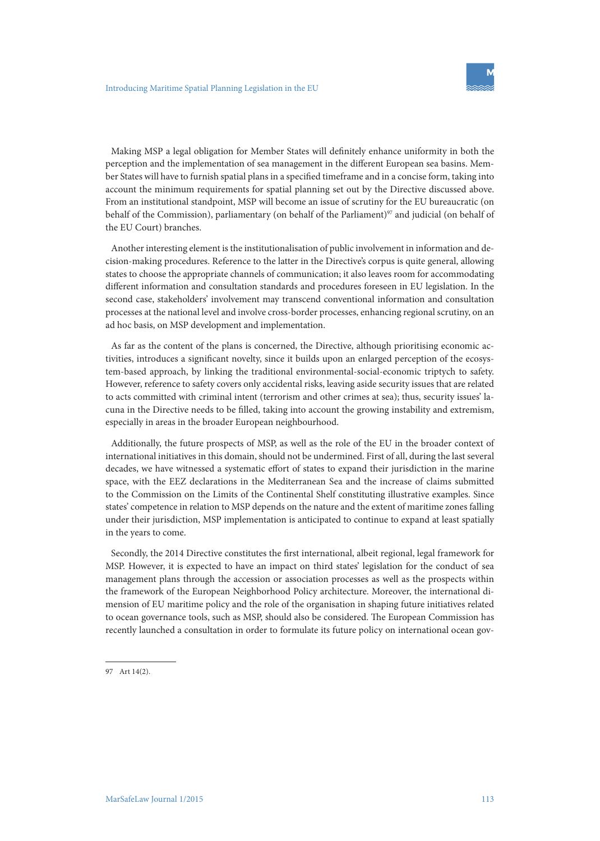

Making MSP a legal obligation for Member States will definitely enhance uniformity in both the perception and the implementation of sea management in the different European sea basins. Member States will have to furnish spatial plans in a specified timeframe and in a concise form, taking into account the minimum requirements for spatial planning set out by the Directive discussed above. From an institutional standpoint, MSP will become an issue of scrutiny for the EU bureaucratic (on behalf of the Commission), parliamentary (on behalf of the Parliament)<sup>97</sup> and judicial (on behalf of the EU Court) branches.

Another interesting element is the institutionalisation of public involvement in information and decision-making procedures. Reference to the latter in the Directive's corpus is quite general, allowing states to choose the appropriate channels of communication; it also leaves room for accommodating different information and consultation standards and procedures foreseen in EU legislation. In the second case, stakeholders' involvement may transcend conventional information and consultation processes at the national level and involve cross-border processes, enhancing regional scrutiny, on an ad hoc basis, on MSP development and implementation.

As far as the content of the plans is concerned, the Directive, although prioritising economic activities, introduces a significant novelty, since it builds upon an enlarged perception of the ecosystem-based approach, by linking the traditional environmental-social-economic triptych to safety. However, reference to safety covers only accidental risks, leaving aside security issues that are related to acts committed with criminal intent (terrorism and other crimes at sea); thus, security issues' lacuna in the Directive needs to be filled, taking into account the growing instability and extremism, especially in areas in the broader European neighbourhood.

Additionally, the future prospects of MSP, as well as the role of the EU in the broader context of international initiatives in this domain, should not be undermined. First of all, during the last several decades, we have witnessed a systematic effort of states to expand their jurisdiction in the marine space, with the EEZ declarations in the Mediterranean Sea and the increase of claims submitted to the Commission on the Limits of the Continental Shelf constituting illustrative examples. Since states' competence in relation to MSP depends on the nature and the extent of maritime zones falling under their jurisdiction, MSP implementation is anticipated to continue to expand at least spatially in the years to come.

Secondly, the 2014 Directive constitutes the first international, albeit regional, legal framework for MSP. However, it is expected to have an impact on third states' legislation for the conduct of sea management plans through the accession or association processes as well as the prospects within the framework of the European Neighborhood Policy architecture. Moreover, the international dimension of EU maritime policy and the role of the organisation in shaping future initiatives related to ocean governance tools, such as MSP, should also be considered. The European Commission has recently launched a consultation in order to formulate its future policy on international ocean gov-

97 Art 14(2).